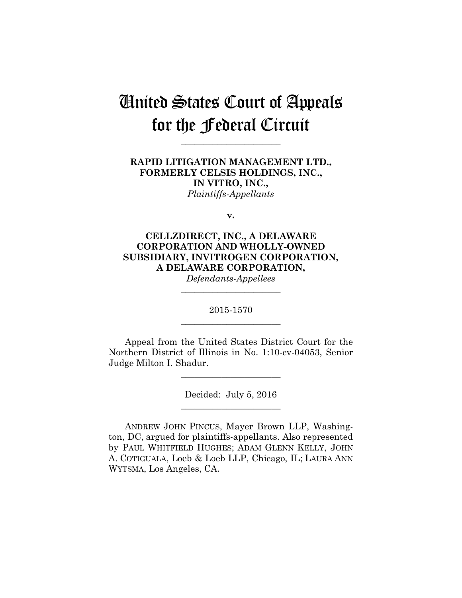# United States Court of Appeals for the Federal Circuit

**\_\_\_\_\_\_\_\_\_\_\_\_\_\_\_\_\_\_\_\_\_\_** 

**RAPID LITIGATION MANAGEMENT LTD., FORMERLY CELSIS HOLDINGS, INC., IN VITRO, INC.,** *Plaintiffs-Appellants*

**v.**

**CELLZDIRECT, INC., A DELAWARE CORPORATION AND WHOLLY-OWNED SUBSIDIARY, INVITROGEN CORPORATION, A DELAWARE CORPORATION,** 

*Defendants-Appellees* **\_\_\_\_\_\_\_\_\_\_\_\_\_\_\_\_\_\_\_\_\_\_** 

2015-1570 **\_\_\_\_\_\_\_\_\_\_\_\_\_\_\_\_\_\_\_\_\_\_** 

Appeal from the United States District Court for the Northern District of Illinois in No. 1:10-cv-04053, Senior Judge Milton I. Shadur.

**\_\_\_\_\_\_\_\_\_\_\_\_\_\_\_\_\_\_\_\_\_\_** 

Decided: July 5, 2016 **\_\_\_\_\_\_\_\_\_\_\_\_\_\_\_\_\_\_\_\_\_\_** 

ANDREW JOHN PINCUS, Mayer Brown LLP, Washington, DC, argued for plaintiffs-appellants. Also represented by PAUL WHITFIELD HUGHES; ADAM GLENN KELLY, JOHN A. COTIGUALA, Loeb & Loeb LLP, Chicago, IL; LAURA ANN WYTSMA, Los Angeles, CA.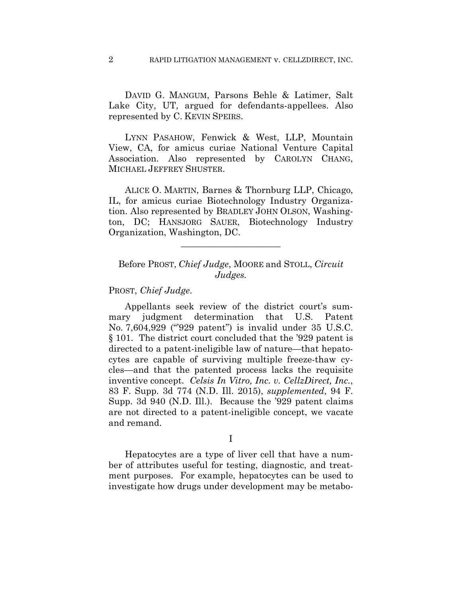DAVID G. MANGUM, Parsons Behle & Latimer, Salt Lake City, UT, argued for defendants-appellees. Also represented by C. KEVIN SPEIRS.

LYNN PASAHOW, Fenwick & West, LLP, Mountain View, CA, for amicus curiae National Venture Capital Association. Also represented by CAROLYN CHANG, MICHAEL JEFFREY SHUSTER.

ALICE O. MARTIN, Barnes & Thornburg LLP, Chicago, IL, for amicus curiae Biotechnology Industry Organization. Also represented by BRADLEY JOHN OLSON, Washington, DC; HANSJORG SAUER, Biotechnology Industry Organization, Washington, DC.

## Before PROST, *Chief Judge*, MOORE and STOLL, *Circuit Judges.*

**\_\_\_\_\_\_\_\_\_\_\_\_\_\_\_\_\_\_\_\_\_\_** 

PROST, *Chief Judge*.

Appellants seek review of the district court's summary judgment determination that U.S. Patent No. 7,604,929 ("'929 patent") is invalid under 35 U.S.C. § 101. The district court concluded that the '929 patent is directed to a patent-ineligible law of nature—that hepatocytes are capable of surviving multiple freeze-thaw cycles—and that the patented process lacks the requisite inventive concept. *Celsis In Vitro, Inc. v. CellzDirect, Inc.*, 83 F. Supp. 3d 774 (N.D. Ill. 2015), *supplemented*, 94 F. Supp. 3d 940 (N.D. Ill.). Because the '929 patent claims are not directed to a patent-ineligible concept, we vacate and remand.

I

 Hepatocytes are a type of liver cell that have a number of attributes useful for testing, diagnostic, and treatment purposes. For example, hepatocytes can be used to investigate how drugs under development may be metabo-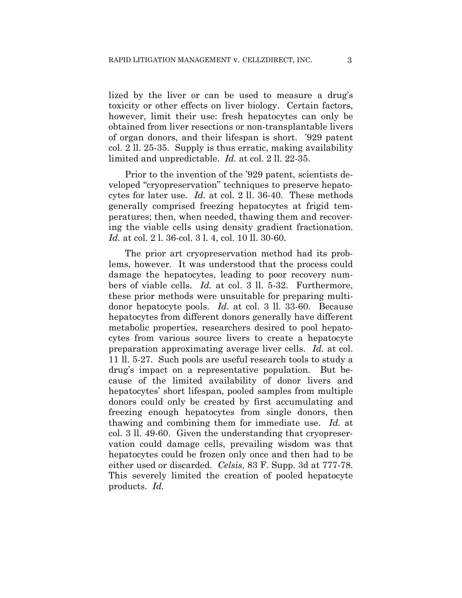lized by the liver or can be used to measure a drug's toxicity or other effects on liver biology. Certain factors, however, limit their use: fresh hepatocytes can only be obtained from liver resections or non-transplantable livers of organ donors, and their lifespan is short. '929 patent col. 2 ll. 25-35. Supply is thus erratic, making availability limited and unpredictable. *Id.* at col. 2 ll. 22-35.

Prior to the invention of the '929 patent, scientists developed "cryopreservation" techniques to preserve hepatocytes for later use. *Id.* at col. 2 ll. 36-40. These methods generally comprised freezing hepatocytes at frigid temperatures; then, when needed, thawing them and recovering the viable cells using density gradient fractionation. *Id.* at col. 2 l. 36-col. 3 l. 4, col. 10 ll. 30-60.

The prior art cryopreservation method had its problems, however. It was understood that the process could damage the hepatocytes, leading to poor recovery numbers of viable cells. *Id.* at col. 3 ll. 5-32. Furthermore, these prior methods were unsuitable for preparing multidonor hepatocyte pools. *Id.* at col. 3 ll. 33-60. Because hepatocytes from different donors generally have different metabolic properties, researchers desired to pool hepatocytes from various source livers to create a hepatocyte preparation approximating average liver cells. *Id.* at col. 11 ll. 5-27. Such pools are useful research tools to study a drug's impact on a representative population. But because of the limited availability of donor livers and hepatocytes' short lifespan, pooled samples from multiple donors could only be created by first accumulating and freezing enough hepatocytes from single donors, then thawing and combining them for immediate use. *Id.* at col. 3 ll. 49-60. Given the understanding that cryopreservation could damage cells, prevailing wisdom was that hepatocytes could be frozen only once and then had to be either used or discarded. *Celsis*, 83 F. Supp. 3d at 777-78. This severely limited the creation of pooled hepatocyte products. *Id.*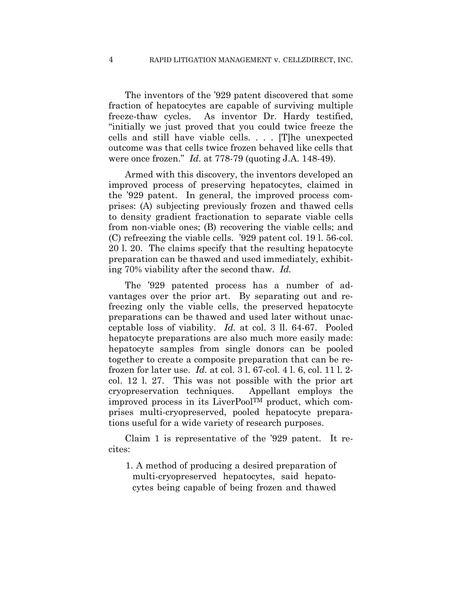The inventors of the '929 patent discovered that some fraction of hepatocytes are capable of surviving multiple freeze-thaw cycles. As inventor Dr. Hardy testified, "initially we just proved that you could twice freeze the cells and still have viable cells. . . . [T]he unexpected outcome was that cells twice frozen behaved like cells that were once frozen." *Id*. at 778-79 (quoting J.A. 148-49).

Armed with this discovery, the inventors developed an improved process of preserving hepatocytes, claimed in the '929 patent. In general, the improved process comprises: (A) subjecting previously frozen and thawed cells to density gradient fractionation to separate viable cells from non-viable ones; (B) recovering the viable cells; and (C) refreezing the viable cells. '929 patent col. 19 l. 56-col. 20 l. 20. The claims specify that the resulting hepatocyte preparation can be thawed and used immediately, exhibiting 70% viability after the second thaw. *Id.* 

The '929 patented process has a number of advantages over the prior art. By separating out and refreezing only the viable cells, the preserved hepatocyte preparations can be thawed and used later without unacceptable loss of viability. *Id.* at col. 3 ll. 64-67. Pooled hepatocyte preparations are also much more easily made: hepatocyte samples from single donors can be pooled together to create a composite preparation that can be refrozen for later use. *Id.* at col. 3 l. 67-col. 4 l. 6, col. 11 l. 2 col. 12 l. 27. This was not possible with the prior art cryopreservation techniques. Appellant employs the improved process in its LiverPoolTM product, which comprises multi-cryopreserved, pooled hepatocyte preparations useful for a wide variety of research purposes.

Claim 1 is representative of the '929 patent. It recites:

1. A method of producing a desired preparation of multi-cryopreserved hepatocytes, said hepatocytes being capable of being frozen and thawed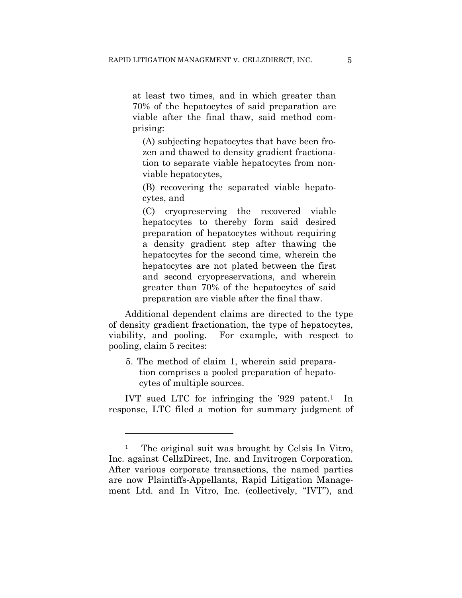at least two times, and in which greater than 70% of the hepatocytes of said preparation are viable after the final thaw, said method comprising:

(A) subjecting hepatocytes that have been frozen and thawed to density gradient fractionation to separate viable hepatocytes from nonviable hepatocytes,

(B) recovering the separated viable hepatocytes, and

(C) cryopreserving the recovered viable hepatocytes to thereby form said desired preparation of hepatocytes without requiring a density gradient step after thawing the hepatocytes for the second time, wherein the hepatocytes are not plated between the first and second cryopreservations, and wherein greater than 70% of the hepatocytes of said preparation are viable after the final thaw.

Additional dependent claims are directed to the type of density gradient fractionation, the type of hepatocytes, viability, and pooling. For example, with respect to pooling, claim 5 recites:

5. The method of claim 1, wherein said preparation comprises a pooled preparation of hepatocytes of multiple sources.

IVT sued LTC for infringing the  $929$  patent.<sup>1</sup> In response, LTC filed a motion for summary judgment of

1

<sup>&</sup>lt;sup>1</sup> The original suit was brought by Celsis In Vitro, Inc. against CellzDirect, Inc. and Invitrogen Corporation. After various corporate transactions, the named parties are now Plaintiffs-Appellants, Rapid Litigation Management Ltd. and In Vitro, Inc. (collectively, "IVT"), and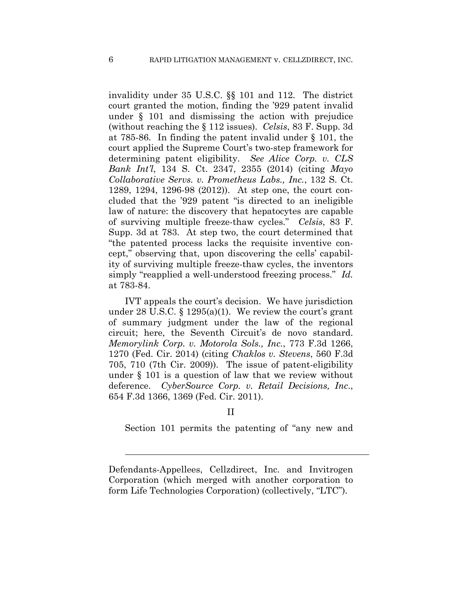invalidity under 35 U.S.C. §§ 101 and 112. The district court granted the motion, finding the '929 patent invalid under § 101 and dismissing the action with prejudice (without reaching the § 112 issues). *Celsis*, 83 F. Supp. 3d at 785-86.In finding the patent invalid under § 101, the court applied the Supreme Court's two-step framework for determining patent eligibility. *See Alice Corp. v. CLS Bank Int'l*, 134 S. Ct. 2347, 2355 (2014) (citing *Mayo Collaborative Servs. v. Prometheus Labs., Inc.*, 132 S. Ct. 1289, 1294, 1296-98 (2012)). At step one, the court concluded that the '929 patent "is directed to an ineligible law of nature: the discovery that hepatocytes are capable of surviving multiple freeze-thaw cycles." *Celsis*, 83 F. Supp. 3d at 783. At step two, the court determined that "the patented process lacks the requisite inventive concept," observing that, upon discovering the cells' capability of surviving multiple freeze-thaw cycles, the inventors simply "reapplied a well-understood freezing process." *Id.* at 783-84.

IVT appeals the court's decision. We have jurisdiction under 28 U.S.C.  $\S$  1295(a)(1). We review the court's grant of summary judgment under the law of the regional circuit; here, the Seventh Circuit's de novo standard. *Memorylink Corp. v. Motorola Sols., Inc.*, 773 F.3d 1266, 1270 (Fed. Cir. 2014) (citing *Chaklos v. Stevens*, 560 F.3d 705, 710 (7th Cir. 2009)). The issue of patent-eligibility under § 101 is a question of law that we review without deference. *CyberSource Corp. v. Retail Decisions, Inc*., 654 F.3d 1366, 1369 (Fed. Cir. 2011).

### II

Section 101 permits the patenting of "any new and

Defendants-Appellees, Cellzdirect, Inc. and Invitrogen Corporation (which merged with another corporation to form Life Technologies Corporation) (collectively, "LTC").

l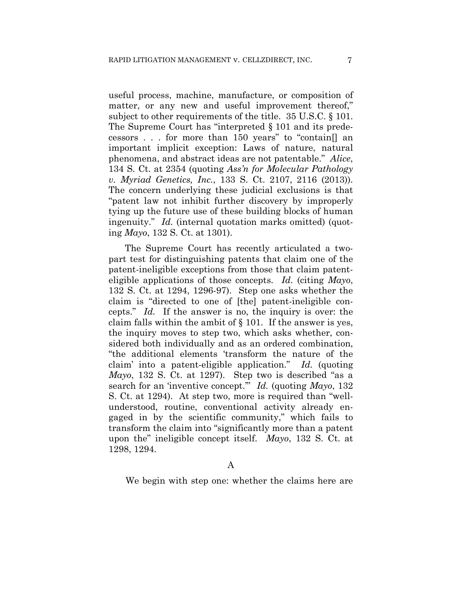useful process, machine, manufacture, or composition of matter, or any new and useful improvement thereof," subject to other requirements of the title. 35 U.S.C. § 101. The Supreme Court has "interpreted § 101 and its predecessors . . . for more than 150 years" to "contain[] an important implicit exception: Laws of nature, natural phenomena, and abstract ideas are not patentable." *Alice*, 134 S. Ct. at 2354 (quoting *Ass'n for Molecular Pathology v. Myriad Genetics, Inc.*, 133 S. Ct. 2107, 2116 (2013)). The concern underlying these judicial exclusions is that "patent law not inhibit further discovery by improperly tying up the future use of these building blocks of human ingenuity." *Id.* (internal quotation marks omitted) (quoting *Mayo*, 132 S. Ct. at 1301).

The Supreme Court has recently articulated a twopart test for distinguishing patents that claim one of the patent-ineligible exceptions from those that claim patenteligible applications of those concepts. *Id.* (citing *Mayo*, 132 S. Ct. at 1294, 1296-97). Step one asks whether the claim is "directed to one of [the] patent-ineligible concepts." *Id.* If the answer is no, the inquiry is over: the claim falls within the ambit of § 101. If the answer is yes, the inquiry moves to step two, which asks whether, considered both individually and as an ordered combination, "the additional elements 'transform the nature of the claim' into a patent-eligible application." *Id.* (quoting *Mayo*, 132 S. Ct. at 1297). Step two is described "as a search for an 'inventive concept.'" *Id.* (quoting *Mayo*, 132 S. Ct. at 1294). At step two, more is required than "wellunderstood, routine, conventional activity already engaged in by the scientific community," which fails to transform the claim into "significantly more than a patent upon the" ineligible concept itself. *Mayo*, 132 S. Ct. at 1298, 1294.

### A

We begin with step one: whether the claims here are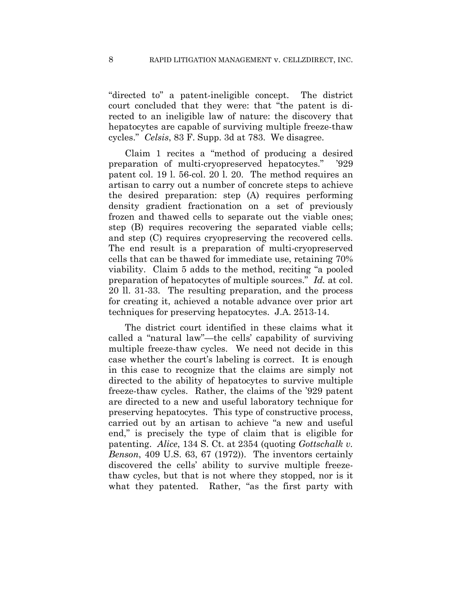"directed to" a patent-ineligible concept. The district court concluded that they were: that "the patent is directed to an ineligible law of nature: the discovery that hepatocytes are capable of surviving multiple freeze-thaw cycles." *Celsis*, 83 F. Supp. 3d at 783. We disagree.

Claim 1 recites a "method of producing a desired preparation of multi-cryopreserved hepatocytes." '929 patent col. 19 l. 56-col. 20 l. 20. The method requires an artisan to carry out a number of concrete steps to achieve the desired preparation: step (A) requires performing density gradient fractionation on a set of previously frozen and thawed cells to separate out the viable ones; step (B) requires recovering the separated viable cells; and step (C) requires cryopreserving the recovered cells. The end result is a preparation of multi-cryopreserved cells that can be thawed for immediate use, retaining 70% viability. Claim 5 adds to the method, reciting "a pooled preparation of hepatocytes of multiple sources." *Id.* at col. 20 ll. 31-33. The resulting preparation, and the process for creating it, achieved a notable advance over prior art techniques for preserving hepatocytes. J.A. 2513-14.

The district court identified in these claims what it called a "natural law"—the cells' capability of surviving multiple freeze-thaw cycles. We need not decide in this case whether the court's labeling is correct. It is enough in this case to recognize that the claims are simply not directed to the ability of hepatocytes to survive multiple freeze-thaw cycles. Rather, the claims of the '929 patent are directed to a new and useful laboratory technique for preserving hepatocytes. This type of constructive process, carried out by an artisan to achieve "a new and useful end," is precisely the type of claim that is eligible for patenting. *Alice*, 134 S. Ct. at 2354 (quoting *Gottschalk v. Benson*, 409 U.S. 63, 67 (1972)). The inventors certainly discovered the cells' ability to survive multiple freezethaw cycles, but that is not where they stopped, nor is it what they patented. Rather, "as the first party with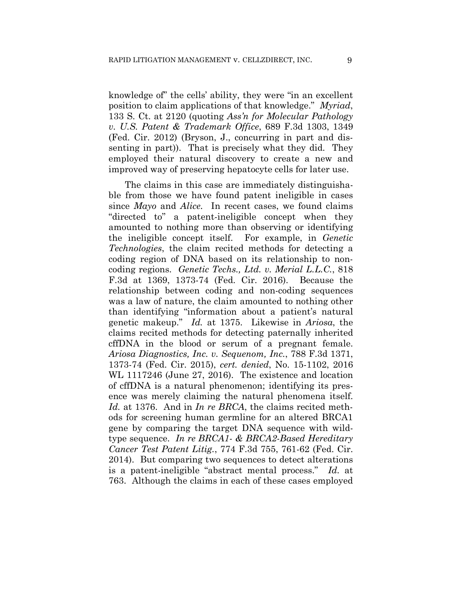knowledge of" the cells' ability, they were "in an excellent position to claim applications of that knowledge." *Myriad*, 133 S. Ct. at 2120 (quoting *Ass'n for Molecular Pathology v. U.S. Patent & Trademark Office*, 689 F.3d 1303, 1349 (Fed. Cir. 2012) (Bryson, J., concurring in part and dissenting in part)). That is precisely what they did. They employed their natural discovery to create a new and improved way of preserving hepatocyte cells for later use.

The claims in this case are immediately distinguishable from those we have found patent ineligible in cases since *Mayo* and *Alice.* In recent cases, we found claims "directed to" a patent-ineligible concept when they amounted to nothing more than observing or identifying the ineligible concept itself. For example, in *Genetic Technologies*, the claim recited methods for detecting a coding region of DNA based on its relationship to noncoding regions. *Genetic Techs., Ltd. v. Merial L.L.C.*, 818 F.3d at 1369, 1373-74 (Fed. Cir. 2016). Because the relationship between coding and non-coding sequences was a law of nature, the claim amounted to nothing other than identifying "information about a patient's natural genetic makeup." *Id.* at 1375. Likewise in *Ariosa*, the claims recited methods for detecting paternally inherited cffDNA in the blood or serum of a pregnant female. *Ariosa Diagnostics, Inc. v. Sequenom, Inc.*, 788 F.3d 1371, 1373-74 (Fed. Cir. 2015), *cert. denied*, No. 15-1102, 2016 WL 1117246 (June 27, 2016). The existence and location of cffDNA is a natural phenomenon; identifying its presence was merely claiming the natural phenomena itself. *Id.* at 1376. And in *In re BRCA*, the claims recited methods for screening human germline for an altered BRCA1 gene by comparing the target DNA sequence with wildtype sequence. *In re BRCA1- & BRCA2-Based Hereditary Cancer Test Patent Litig.*, 774 F.3d 755, 761-62 (Fed. Cir. 2014). But comparing two sequences to detect alterations is a patent-ineligible "abstract mental process." *Id.* at 763. Although the claims in each of these cases employed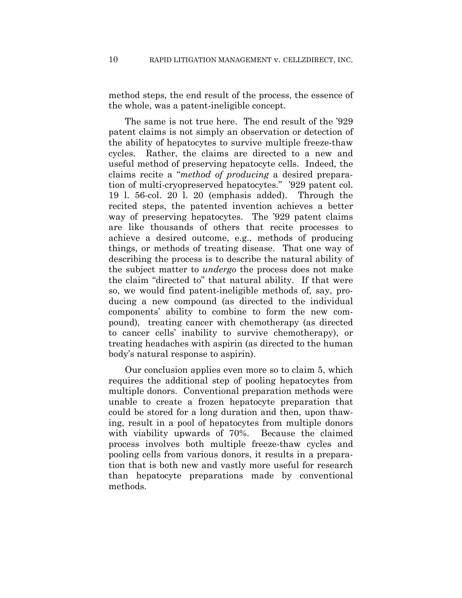method steps, the end result of the process, the essence of the whole, was a patent-ineligible concept.

 The same is not true here. The end result of the '929 patent claims is not simply an observation or detection of the ability of hepatocytes to survive multiple freeze-thaw cycles. Rather, the claims are directed to a new and useful method of preserving hepatocyte cells. Indeed, the claims recite a "*method of producing* a desired preparation of multi-cryopreserved hepatocytes." '929 patent col. 19 l. 56-col. 20 l. 20 (emphasis added). Through the recited steps, the patented invention achieves a better way of preserving hepatocytes. The '929 patent claims are like thousands of others that recite processes to achieve a desired outcome, e.g., methods of producing things, or methods of treating disease. That one way of describing the process is to describe the natural ability of the subject matter to *undergo* the process does not make the claim "directed to" that natural ability. If that were so, we would find patent-ineligible methods of, say, producing a new compound (as directed to the individual components' ability to combine to form the new compound), treating cancer with chemotherapy (as directed to cancer cells' inability to survive chemotherapy), or treating headaches with aspirin (as directed to the human body's natural response to aspirin).

Our conclusion applies even more so to claim 5, which requires the additional step of pooling hepatocytes from multiple donors. Conventional preparation methods were unable to create a frozen hepatocyte preparation that could be stored for a long duration and then, upon thawing, result in a pool of hepatocytes from multiple donors with viability upwards of 70%. Because the claimed process involves both multiple freeze-thaw cycles and pooling cells from various donors, it results in a preparation that is both new and vastly more useful for research than hepatocyte preparations made by conventional methods.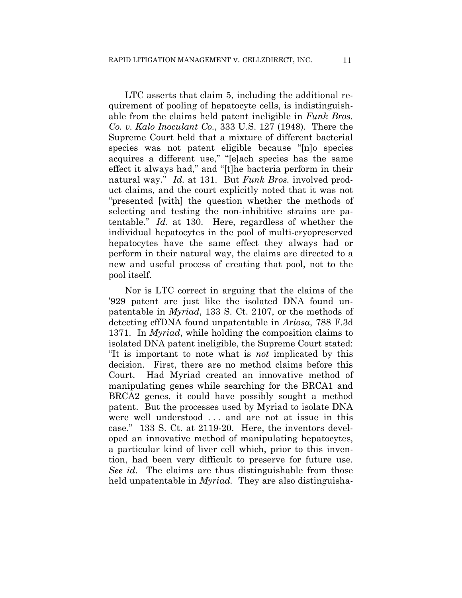LTC asserts that claim 5, including the additional requirement of pooling of hepatocyte cells, is indistinguishable from the claims held patent ineligible in *Funk Bros. Co. v. Kalo Inoculant Co.*, 333 U.S. 127 (1948). There the Supreme Court held that a mixture of different bacterial species was not patent eligible because "[n]o species acquires a different use," "[e]ach species has the same effect it always had," and "[t]he bacteria perform in their natural way." *Id.* at 131. But *Funk Bros.* involved product claims, and the court explicitly noted that it was not "presented [with] the question whether the methods of selecting and testing the non-inhibitive strains are patentable." *Id*. at 130. Here, regardless of whether the individual hepatocytes in the pool of multi-cryopreserved hepatocytes have the same effect they always had or perform in their natural way, the claims are directed to a new and useful process of creating that pool, not to the pool itself.

Nor is LTC correct in arguing that the claims of the '929 patent are just like the isolated DNA found unpatentable in *Myriad*, 133 S. Ct. 2107, or the methods of detecting cffDNA found unpatentable in *Ariosa*, 788 F.3d 1371. In *Myriad*, while holding the composition claims to isolated DNA patent ineligible, the Supreme Court stated: "It is important to note what is *not* implicated by this decision. First, there are no method claims before this Court. Had Myriad created an innovative method of manipulating genes while searching for the BRCA1 and BRCA2 genes, it could have possibly sought a method patent. But the processes used by Myriad to isolate DNA were well understood . . . and are not at issue in this case." 133 S. Ct. at 2119-20. Here, the inventors developed an innovative method of manipulating hepatocytes, a particular kind of liver cell which, prior to this invention, had been very difficult to preserve for future use. *See id.* The claims are thus distinguishable from those held unpatentable in *Myriad.* They are also distinguisha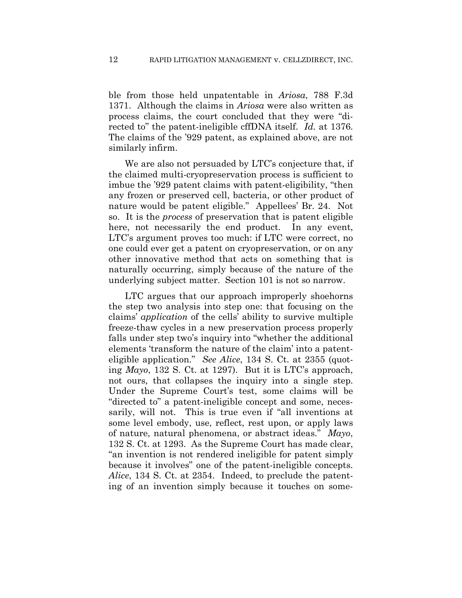ble from those held unpatentable in *Ariosa*, 788 F.3d 1371. Although the claims in *Ariosa* were also written as process claims, the court concluded that they were "directed to" the patent-ineligible cffDNA itself. *Id.* at 1376. The claims of the '929 patent, as explained above, are not similarly infirm.

We are also not persuaded by LTC's conjecture that, if the claimed multi-cryopreservation process is sufficient to imbue the '929 patent claims with patent-eligibility, "then any frozen or preserved cell, bacteria, or other product of nature would be patent eligible." Appellees' Br. 24. Not so. It is the *process* of preservation that is patent eligible here, not necessarily the end product. In any event, LTC's argument proves too much: if LTC were correct, no one could ever get a patent on cryopreservation, or on any other innovative method that acts on something that is naturally occurring, simply because of the nature of the underlying subject matter. Section 101 is not so narrow.

LTC argues that our approach improperly shoehorns the step two analysis into step one: that focusing on the claims' *application* of the cells' ability to survive multiple freeze-thaw cycles in a new preservation process properly falls under step two's inquiry into "whether the additional elements 'transform the nature of the claim' into a patenteligible application." *See Alice*, 134 S. Ct. at 2355 (quoting *Mayo*, 132 S. Ct. at 1297). But it is LTC's approach, not ours, that collapses the inquiry into a single step. Under the Supreme Court's test, some claims will be "directed to" a patent-ineligible concept and some, necessarily, will not. This is true even if "all inventions at some level embody, use, reflect, rest upon, or apply laws of nature, natural phenomena, or abstract ideas." *Mayo*, 132 S. Ct. at 1293. As the Supreme Court has made clear, "an invention is not rendered ineligible for patent simply because it involves" one of the patent-ineligible concepts. *Alice*, 134 S. Ct. at 2354. Indeed, to preclude the patenting of an invention simply because it touches on some-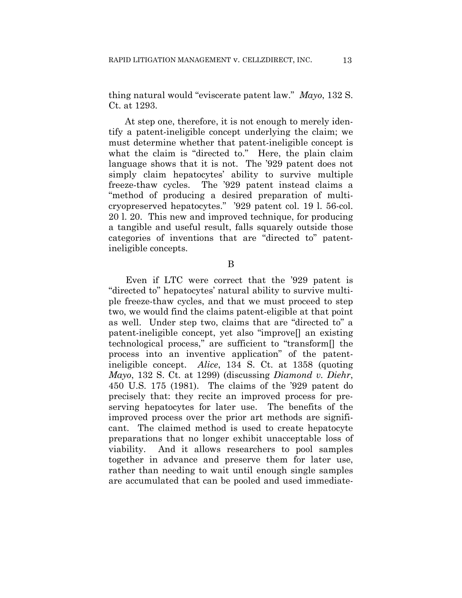thing natural would "eviscerate patent law." *Mayo*, 132 S. Ct. at 1293.

At step one, therefore, it is not enough to merely identify a patent-ineligible concept underlying the claim; we must determine whether that patent-ineligible concept is what the claim is "directed to." Here, the plain claim language shows that it is not. The '929 patent does not simply claim hepatocytes' ability to survive multiple freeze-thaw cycles. The '929 patent instead claims a "method of producing a desired preparation of multicryopreserved hepatocytes." '929 patent col. 19 l. 56-col. 20 l. 20. This new and improved technique, for producing a tangible and useful result, falls squarely outside those categories of inventions that are "directed to" patentineligible concepts.

B

Even if LTC were correct that the '929 patent is "directed to" hepatocytes' natural ability to survive multiple freeze-thaw cycles, and that we must proceed to step two, we would find the claims patent-eligible at that point as well. Under step two, claims that are "directed to" a patent-ineligible concept, yet also "improve[] an existing technological process," are sufficient to "transform[] the process into an inventive application" of the patentineligible concept. *Alice*, 134 S. Ct. at 1358 (quoting *Mayo*, 132 S. Ct. at 1299) (discussing *Diamond v. Diehr*, 450 U.S. 175 (1981). The claims of the '929 patent do precisely that: they recite an improved process for preserving hepatocytes for later use. The benefits of the improved process over the prior art methods are significant. The claimed method is used to create hepatocyte preparations that no longer exhibit unacceptable loss of viability. And it allows researchers to pool samples together in advance and preserve them for later use, rather than needing to wait until enough single samples are accumulated that can be pooled and used immediate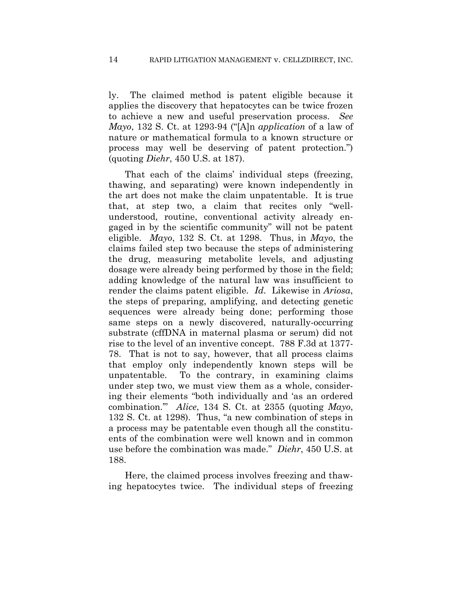ly. The claimed method is patent eligible because it applies the discovery that hepatocytes can be twice frozen to achieve a new and useful preservation process. *See Mayo*, 132 S. Ct. at 1293-94 ("[A]n *application* of a law of nature or mathematical formula to a known structure or process may well be deserving of patent protection.") (quoting *Diehr*, 450 U.S. at 187).

That each of the claims' individual steps (freezing, thawing, and separating) were known independently in the art does not make the claim unpatentable. It is true that, at step two, a claim that recites only "wellunderstood, routine, conventional activity already engaged in by the scientific community" will not be patent eligible. *Mayo*, 132 S. Ct. at 1298. Thus, in *Mayo*, the claims failed step two because the steps of administering the drug, measuring metabolite levels, and adjusting dosage were already being performed by those in the field; adding knowledge of the natural law was insufficient to render the claims patent eligible. *Id.* Likewise in *Ariosa*, the steps of preparing, amplifying, and detecting genetic sequences were already being done; performing those same steps on a newly discovered, naturally-occurring substrate (cffDNA in maternal plasma or serum) did not rise to the level of an inventive concept. 788 F.3d at 1377- 78. That is not to say, however, that all process claims that employ only independently known steps will be unpatentable. To the contrary, in examining claims under step two, we must view them as a whole, considering their elements "both individually and 'as an ordered combination.'" *Alice*, 134 S. Ct. at 2355 (quoting *Mayo*, 132 S. Ct. at 1298). Thus, "a new combination of steps in a process may be patentable even though all the constituents of the combination were well known and in common use before the combination was made." *Diehr*, 450 U.S. at 188.

Here, the claimed process involves freezing and thawing hepatocytes twice. The individual steps of freezing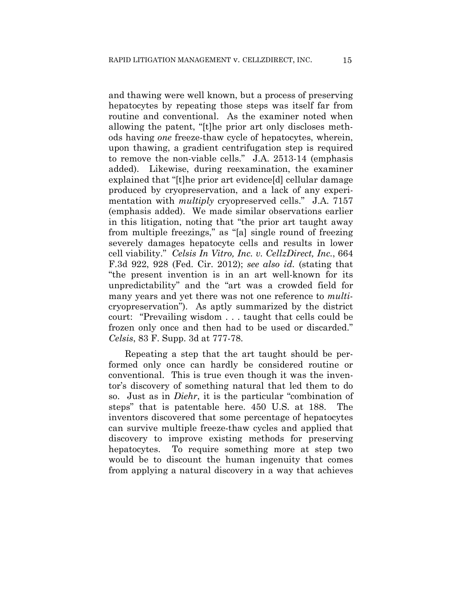and thawing were well known, but a process of preserving hepatocytes by repeating those steps was itself far from routine and conventional. As the examiner noted when allowing the patent, "[t]he prior art only discloses methods having *one* freeze-thaw cycle of hepatocytes, wherein, upon thawing, a gradient centrifugation step is required to remove the non-viable cells." J.A. 2513-14 (emphasis added). Likewise, during reexamination, the examiner explained that "[t]he prior art evidence[d] cellular damage produced by cryopreservation, and a lack of any experimentation with *multiply* cryopreserved cells." J.A. 7157 (emphasis added). We made similar observations earlier in this litigation, noting that "the prior art taught away from multiple freezings," as "[a] single round of freezing severely damages hepatocyte cells and results in lower cell viability." *Celsis In Vitro, Inc. v. CellzDirect, Inc.*, 664 F.3d 922, 928 (Fed. Cir. 2012); *see also id.* (stating that "the present invention is in an art well-known for its unpredictability" and the "art was a crowded field for many years and yet there was not one reference to *multi*cryopreservation"). As aptly summarized by the district court: "Prevailing wisdom . . . taught that cells could be frozen only once and then had to be used or discarded." *Celsis*, 83 F. Supp. 3d at 777-78.

Repeating a step that the art taught should be performed only once can hardly be considered routine or conventional. This is true even though it was the inventor's discovery of something natural that led them to do so. Just as in *Diehr*, it is the particular "combination of steps" that is patentable here. 450 U.S. at 188. The inventors discovered that some percentage of hepatocytes can survive multiple freeze-thaw cycles and applied that discovery to improve existing methods for preserving hepatocytes. To require something more at step two would be to discount the human ingenuity that comes from applying a natural discovery in a way that achieves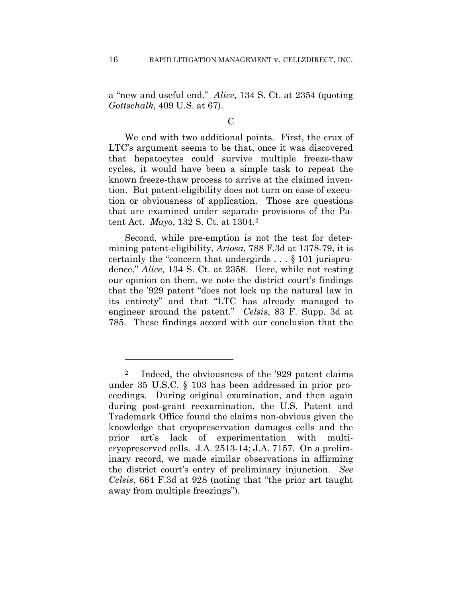a "new and useful end." *Alice*, 134 S. Ct. at 2354 (quoting *Gottschalk*, 409 U.S. at 67).

#### $\mathcal C$

We end with two additional points. First, the crux of LTC's argument seems to be that, once it was discovered that hepatocytes could survive multiple freeze-thaw cycles, it would have been a simple task to repeat the known freeze-thaw process to arrive at the claimed invention. But patent-eligibility does not turn on ease of execution or obviousness of application. Those are questions that are examined under separate provisions of the Patent Act. *Mayo*, 132 S. Ct. at 1304.2

Second, while pre-emption is not the test for determining patent-eligibility, *Ariosa*, 788 F.3d at 1378-79, it is certainly the "concern that undergirds . . . § 101 jurisprudence," *Alice*, 134 S. Ct. at 2358. Here, while not resting our opinion on them, we note the district court's findings that the '929 patent "does not lock up the natural law in its entirety" and that "LTC has already managed to engineer around the patent." *Celsis*, 83 F. Supp. 3d at 785. These findings accord with our conclusion that the

1

<sup>2</sup> Indeed, the obviousness of the '929 patent claims under 35 U.S.C. § 103 has been addressed in prior proceedings. During original examination, and then again during post-grant reexamination, the U.S. Patent and Trademark Office found the claims non-obvious given the knowledge that cryopreservation damages cells and the prior art's lack of experimentation with multicryopreserved cells. J.A. 2513-14; J.A. 7157. On a preliminary record, we made similar observations in affirming the district court's entry of preliminary injunction. *See Celsis*, 664 F.3d at 928 (noting that "the prior art taught away from multiple freezings").